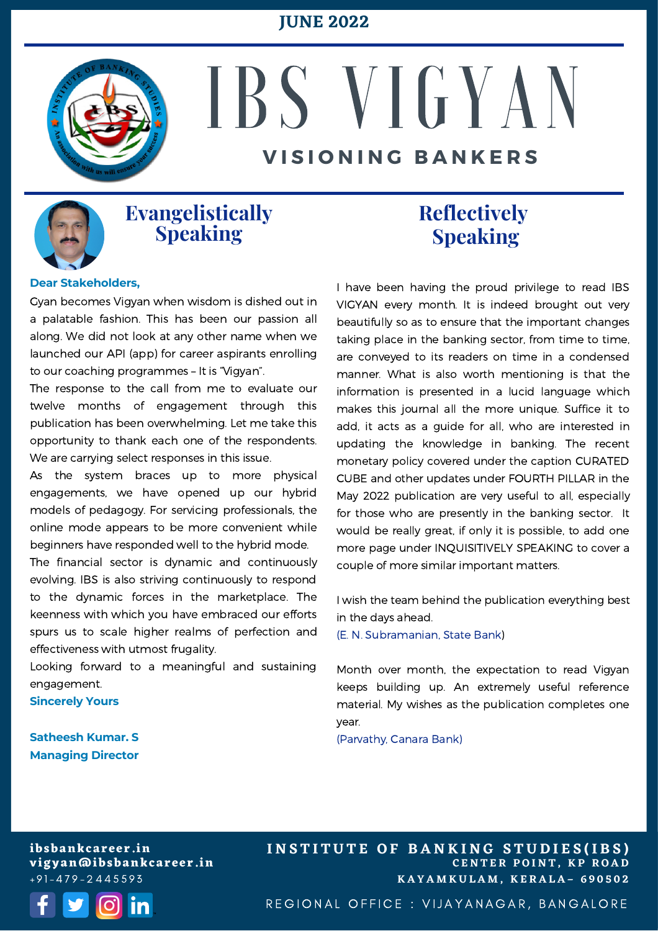### **JUNE 2022**



# IBS V I G Y A N **V I S I O N I N G B A N K E R S**



### **Evangelistically Speaking**

**Dear Stakeholders,**

Gyan becomes Vigyan when wisdom is dished out in a palatable fashion. This has been our passion all along. We did not look at any other name when we launched our API (app) for career aspirants enrolling to our coaching programmes – It is "Vigyan".

The response to the call from me to evaluate our twelve months of engagement through this publication has been overwhelming. Let me take this opportunity to thank each one of the respondents. We are carrying select responses in this issue.

As the system braces up to more physical engagements, we have opened up our hybrid models of pedagogy. For servicing professionals, the online mode appears to be more convenient while beginners have responded well to the hybrid mode.

The financial sector is dynamic and continuously evolving. IBS is also striving continuously to respond to the dynamic forces in the marketplace. The keenness with which you have embraced our efforts spurs us to scale higher realms of perfection and effectiveness with utmost frugality.

Looking forward to a meaningful and sustaining engagement.

**Sincerely Yours**

**Satheesh Kumar. S Managing Director**

## Addressed Speaking **Reflectively**

I have been having the proud privilege to read IBS VIGYAN every month. It is indeed brought out very beautifully so as to ensure that the important changes taking place in the banking sector, from time to time, are conveyed to its readers on time in a condensed manner. What is also worth mentioning is that the information is presented in a lucid language which makes this journal all the more unique. Suffice it to add, it acts as a guide for all, who are interested in updating the knowledge in banking. The recent monetary policy covered under the caption CURATED CUBE and other updates under FOURTH PILLAR in the May 2022 publication are very useful to all, especially for those who are presently in the banking sector. It would be really great, if only it is possible, to add one more page under INQUISITIVELY SPEAKING to cover a couple of more similar important matters.

I wish the team behind the publication everything best in the days ahead.

(E. N. Subramanian, State Bank)

Month over month, the expectation to read Vigyan keeps building up. An extremely useful reference material. My wishes as the publication completes one year.

(Parvathy, Canara Bank)

**ibsbankcareer.in vigyan@ibsbankcareer.in**  $+91 - 479 - 2445593$ 



**C E N T E R P O I N T , K P R O A D K A Y A M K U L A M , K E R A L A – 6 9 0 5 0 2** INSTITUTE OF BANKING STUDIES(IBS)

REGIONAL OFFICE : VIJAYANAGAR, BANGALORE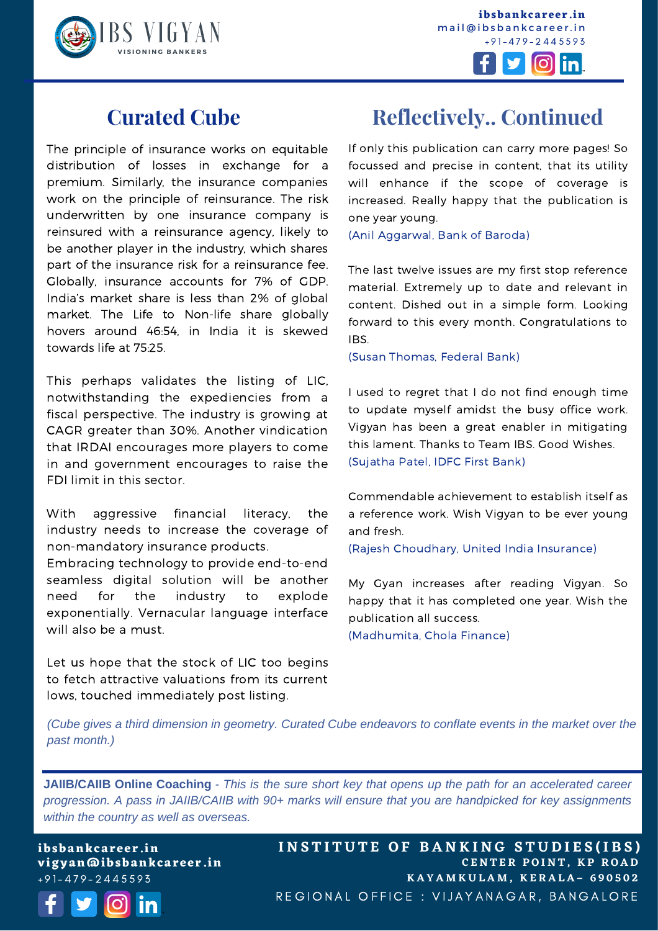

**ibsbankcareer.in** mail@ibsbankcareer.in  $+91 - 479 - 2445593$ 



### **Curated Cube**

The principle of insurance works on equitable distribution of losses in exchange for a premium. Similarly, the insurance companies work on the principle of reinsurance. The risk underwritten by one insurance company is reinsured with a reinsurance agency, likely to be another player in the industry, which shares part of the insurance risk for a reinsurance fee. Globally, insurance accounts for 7% of GDP. India's market share is less than 2% of global market. The Life to Non-life share globally hovers around 46:54, in India it is skewed towards life at 75:25.

This perhaps validates the listing of LIC, notwithstanding the expediencies from a fiscal perspective. The industry is growing at CAGR greater than 30%. Another vindication that IRDAI encourages more players to come in and government encourages to raise the FDI limit in this sector.

With aggressive financial literacy, the industry needs to increase the coverage of non-mandatory insurance products.

Embracing technology to provide end-to-end seamless digital solution will be another need for the industry to explode exponentially. Vernacular language interface will also be a must.

Let us hope that the stock of LIC too begins to fetch attractive valuations from its current lows, touched immediately post listing.

# **Reflectively.. Continued**

If only this publication can carry more pages! So focussed and precise in content, that its utility will enhance if the scope of coverage is increased. Really happy that the publication is one year young.

(Anil Aggarwal, Bank of Baroda)

The last twelve issues are my first stop reference material. Extremely up to date and relevant in content. Dished out in a simple form. Looking forward to this every month. Congratulations to IBS.

(Susan Thomas, Federal Bank)

I used to regret that I do not find enough time to update myself amidst the busy office work. Vigyan has been a great enabler in mitigating this lament. Thanks to Team IBS. Good Wishes. (Sujatha Patel, IDFC First Bank)

Commendable achievement to establish itself as a reference work. Wish Vigyan to be ever young and fresh.

(Rajesh Choudhary, United India Insurance)

My Gyan increases after reading Vigyan. So happy that it has completed one year. Wish the publication all success.

(Madhumita, Chola Finance)

(Cube gives a third dimension in geometry. Curated Cube endeavors to conflate events in the market over the *the past month.) past month.)*

**JAIIB/CAIIB Online Coaching** - This is the sure short key that opens up the path for an accelerated career *progression. A pass in JAIIB/CAIIB with 90+ marks will ensure that you are handpicked for key assignments within the country as well as overseas.*

**ibsbankcareer.in vigyan@ibsbankcareer.in**  $+91 - 479 - 2445593$ 



INSTITUTE OF BANKING STUDIES(IBS) **C E N T E R P O I N T , K P R O A D K A Y A M K U L A M , K E R A L A – 6 9 0 5 0 2** REGIONAL OFFICE : VIJAYANAGAR, BANGALORE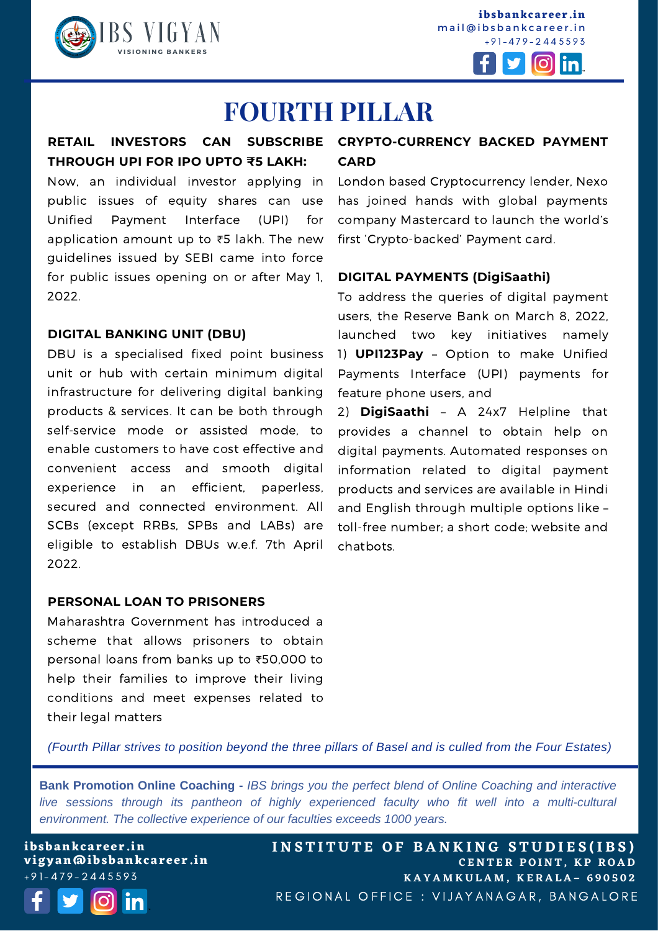

**ibsbankcareer.in** mail@ibsbankcareer.in  $+91 - 479 - 2445593$ 



# **FOURTH PILLAR**

# **THROUGH UPI FOR IPO UPTO ₹5 LAKH:**

Now, an individual investor applying in public issues of equity shares can use Unified Payment Interface (UPI) for application amount up to ₹5 lakh. The new guidelines issued by SEBI came into force for public issues opening on or after May 1, 2022.

#### **DIGITAL BANKING UNIT (DBU)**

DBU is a specialised fixed point business unit or hub with certain minimum digital infrastructure for delivering digital banking products & services. It can be both through self-service mode or assisted mode, to enable customers to have cost effective and convenient access and smooth digital experience in an efficient, paperless, secured and connected environment. All SCBs (except RRBs, SPBs and LABs) are eligible to establish DBUs w.e.f. 7th April 2022.

#### **PERSONAL LOAN TO PRISONERS**

Maharashtra Government has introduced a scheme that allows prisoners to obtain personal loans from banks up to ₹50,000 to help their families to improve their living conditions and meet expenses related to their legal matters

### **CRYPTO-CURRENCY BACKED PAYMENT RETAIL INVESTORS CAN SUBSCRIBE CARD**

London based Cryptocurrency lender, Nexo has joined hands with global payments company Mastercard to launch the world's first 'Crypto-backed' Payment card.

#### **DIGITAL PAYMENTS (DigiSaathi)**

To address the queries of digital payment users, the Reserve Bank on March 8, 2022, launched two key initiatives namely 1) **UPI123Pay** – Option to make Unified Payments Interface (UPI) payments for feature phone users, and

2) **DigiSaathi** – A 24x7 Helpline that provides a channel to obtain help on digital payments. Automated responses on information related to digital payment products and services are available in Hindi and English through multiple options like – toll-free number; a short code; website and chatbots.

(Fourth Pillar strives to position beyond the three pillars of Basel and is culled from the Four Estates)

**Bank Promotion Online Coaching -** *IBS brings you the perfect blend of Online Coaching and interactive live sessions through its pantheon of highly experienced faculty who fit well into a multi-cultural environment. The collective experience of our faculties exceeds 1000 years.*

**ibsbankcareer.in vigyan@ibsbankcareer.in**  $+91 - 479 - 2445593$ 



INSTITUTE OF BANKING STUDIES(IBS) **C E N T E R P O I N T , K P R O A D K A Y A M K U L A M , K E R A L A – 6 9 0 5 0 2** REGIONAL OFFICE : VIJAYANAGAR, BANGALORE